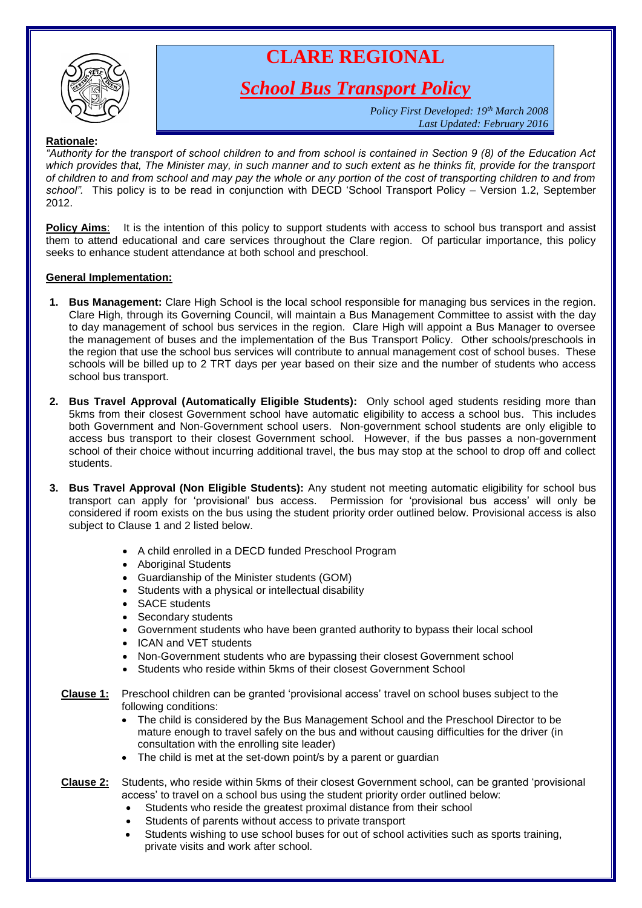

# **CLARE REGIONAL**

*School Bus Transport Policy*

*Policy First Developed: 19th March 2008 Last Updated: February 2016*

## **Rationale:**

*"Authority for the transport of school children to and from school is contained in Section 9 (8) of the Education Act which provides that, The Minister may, in such manner and to such extent as he thinks fit, provide for the transport of children to and from school and may pay the whole or any portion of the cost of transporting children to and from school".* This policy is to be read in conjunction with DECD 'School Transport Policy – Version 1.2, September 2012.

**Policy Aims:** It is the intention of this policy to support students with access to school bus transport and assist them to attend educational and care services throughout the Clare region. Of particular importance, this policy seeks to enhance student attendance at both school and preschool.

## **General Implementation:**

- **1. Bus Management:** Clare High School is the local school responsible for managing bus services in the region. Clare High, through its Governing Council, will maintain a Bus Management Committee to assist with the day to day management of school bus services in the region. Clare High will appoint a Bus Manager to oversee the management of buses and the implementation of the Bus Transport Policy. Other schools/preschools in the region that use the school bus services will contribute to annual management cost of school buses. These schools will be billed up to 2 TRT days per year based on their size and the number of students who access school bus transport.
- **2. Bus Travel Approval (Automatically Eligible Students):** Only school aged students residing more than 5kms from their closest Government school have automatic eligibility to access a school bus. This includes both Government and Non-Government school users. Non-government school students are only eligible to access bus transport to their closest Government school. However, if the bus passes a non-government school of their choice without incurring additional travel, the bus may stop at the school to drop off and collect students.
- **3. Bus Travel Approval (Non Eligible Students):** Any student not meeting automatic eligibility for school bus transport can apply for 'provisional' bus access. Permission for 'provisional bus access' will only be considered if room exists on the bus using the student priority order outlined below. Provisional access is also subject to Clause 1 and 2 listed below.
	- A child enrolled in a DECD funded Preschool Program
	- Aboriginal Students
	- Guardianship of the Minister students (GOM)
	- Students with a physical or intellectual disability
	- SACE students
	- Secondary students
	- Government students who have been granted authority to bypass their local school
	- ICAN and VET students
	- Non-Government students who are bypassing their closest Government school
	- Students who reside within 5kms of their closest Government School
	- **Clause 1:** Preschool children can be granted 'provisional access' travel on school buses subject to the following conditions:
		- The child is considered by the Bus Management School and the Preschool Director to be mature enough to travel safely on the bus and without causing difficulties for the driver (in consultation with the enrolling site leader)
		- The child is met at the set-down point/s by a parent or guardian
	- **Clause 2:** Students, who reside within 5kms of their closest Government school, can be granted 'provisional access' to travel on a school bus using the student priority order outlined below:
		- Students who reside the greatest proximal distance from their school
		- Students of parents without access to private transport
		- Students wishing to use school buses for out of school activities such as sports training, private visits and work after school.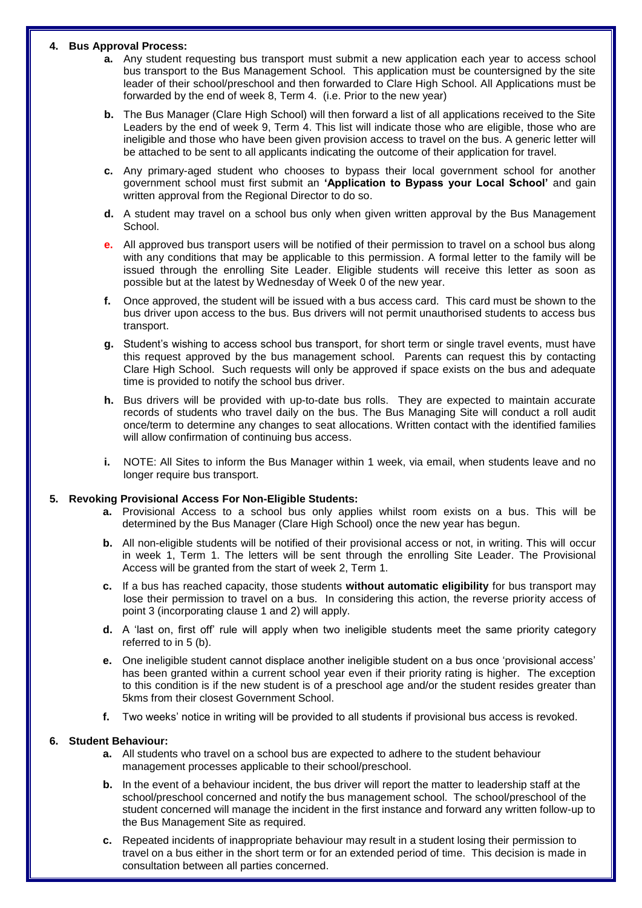#### **4. Bus Approval Process:**

- **a.** Any student requesting bus transport must submit a new application each year to access school bus transport to the Bus Management School. This application must be countersigned by the site leader of their school/preschool and then forwarded to Clare High School. All Applications must be forwarded by the end of week 8, Term 4. (i.e. Prior to the new year)
- **b.** The Bus Manager (Clare High School) will then forward a list of all applications received to the Site Leaders by the end of week 9, Term 4. This list will indicate those who are eligible, those who are ineligible and those who have been given provision access to travel on the bus. A generic letter will be attached to be sent to all applicants indicating the outcome of their application for travel.
- **c.** Any primary-aged student who chooses to bypass their local government school for another government school must first submit an **'Application to Bypass your Local School'** and gain written approval from the Regional Director to do so.
- **d.** A student may travel on a school bus only when given written approval by the Bus Management School.
- **e.** All approved bus transport users will be notified of their permission to travel on a school bus along with any conditions that may be applicable to this permission. A formal letter to the family will be issued through the enrolling Site Leader. Eligible students will receive this letter as soon as possible but at the latest by Wednesday of Week 0 of the new year.
- **f.** Once approved, the student will be issued with a bus access card. This card must be shown to the bus driver upon access to the bus. Bus drivers will not permit unauthorised students to access bus transport.
- **g.** Student's wishing to access school bus transport, for short term or single travel events, must have this request approved by the bus management school. Parents can request this by contacting Clare High School. Such requests will only be approved if space exists on the bus and adequate time is provided to notify the school bus driver.
- **h.** Bus drivers will be provided with up-to-date bus rolls. They are expected to maintain accurate records of students who travel daily on the bus. The Bus Managing Site will conduct a roll audit once/term to determine any changes to seat allocations. Written contact with the identified families will allow confirmation of continuing bus access.
- **i.** NOTE: All Sites to inform the Bus Manager within 1 week, via email, when students leave and no longer require bus transport.

### **5. Revoking Provisional Access For Non-Eligible Students:**

- **a.** Provisional Access to a school bus only applies whilst room exists on a bus. This will be determined by the Bus Manager (Clare High School) once the new year has begun.
- **b.** All non-eligible students will be notified of their provisional access or not, in writing. This will occur in week 1, Term 1. The letters will be sent through the enrolling Site Leader. The Provisional Access will be granted from the start of week 2, Term 1.
- **c.** If a bus has reached capacity, those students **without automatic eligibility** for bus transport may lose their permission to travel on a bus. In considering this action, the reverse priority access of point 3 (incorporating clause 1 and 2) will apply.
- **d.** A 'last on, first off' rule will apply when two ineligible students meet the same priority category referred to in 5 (b).
- **e.** One ineligible student cannot displace another ineligible student on a bus once 'provisional access' has been granted within a current school year even if their priority rating is higher. The exception to this condition is if the new student is of a preschool age and/or the student resides greater than 5kms from their closest Government School.
- **f.** Two weeks' notice in writing will be provided to all students if provisional bus access is revoked.

#### **6. Student Behaviour:**

- **a.** All students who travel on a school bus are expected to adhere to the student behaviour management processes applicable to their school/preschool.
- **b.** In the event of a behaviour incident, the bus driver will report the matter to leadership staff at the school/preschool concerned and notify the bus management school. The school/preschool of the student concerned will manage the incident in the first instance and forward any written follow-up to the Bus Management Site as required.
- **c.** Repeated incidents of inappropriate behaviour may result in a student losing their permission to travel on a bus either in the short term or for an extended period of time. This decision is made in consultation between all parties concerned.